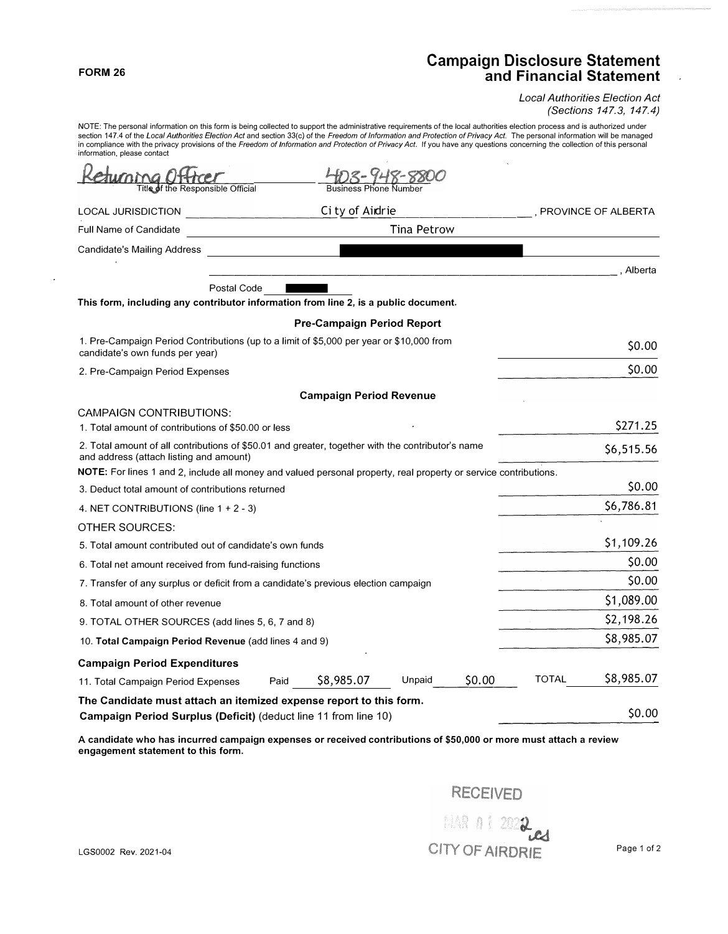## **FORM 26**

## **Campaign Disclosure Statement and Financial Statement**

*Local Authorities Election Act (Sections 147.3, 147.4)* 

NOTE: The personal information on this form is being collected to support the administrative requirements of the local authorities election process and is authorized under section 147.4 of the *Local Authorities Election Act* and section 33(c) of the *Freedom of Information and Protection of Privacy Act.* The personal information will be managed in compliance with the privacy provisions of the Freedom of Information and Protection of Privacy Act. If you have any questions concerning the collection of this personal information, please contact FIFE: The personal information on this form is being collected to support the administrative requirements of the economistic or and *Refugeion Act and section 33(c)* of the *Freedom of Information and Protectic* complian

| Titl <b>e o</b> f the Responsible Official                                                                                                   |                    |                                   |        |        |       |                     |
|----------------------------------------------------------------------------------------------------------------------------------------------|--------------------|-----------------------------------|--------|--------|-------|---------------------|
| LOCAL JURISDICTION                                                                                                                           |                    | City of Aidrie                    |        |        |       | PROVINCE OF ALBERTA |
| Full Name of Candidate                                                                                                                       | <b>Tina Petrow</b> |                                   |        |        |       |                     |
| Candidate's Mailing Address                                                                                                                  |                    |                                   |        |        |       |                     |
|                                                                                                                                              |                    |                                   |        |        |       | . Alberta           |
| Postal Code                                                                                                                                  |                    |                                   |        |        |       |                     |
| This form, including any contributor information from line 2, is a public document.                                                          |                    |                                   |        |        |       |                     |
|                                                                                                                                              |                    | <b>Pre-Campaign Period Report</b> |        |        |       |                     |
| 1. Pre-Campaign Period Contributions (up to a limit of \$5,000 per year or \$10,000 from<br>candidate's own funds per year)                  |                    |                                   |        |        |       | \$0.00              |
| 2. Pre-Campaign Period Expenses                                                                                                              |                    |                                   |        |        |       | \$0.00              |
|                                                                                                                                              |                    | <b>Campaign Period Revenue</b>    |        |        |       |                     |
| <b>CAMPAIGN CONTRIBUTIONS:</b>                                                                                                               |                    |                                   |        |        |       |                     |
| 1. Total amount of contributions of \$50.00 or less                                                                                          |                    |                                   |        |        |       | \$271.25            |
| 2. Total amount of all contributions of \$50.01 and greater, together with the contributor's name<br>and address (attach listing and amount) |                    |                                   |        |        |       | \$6,515.56          |
| NOTE: For lines 1 and 2, include all money and valued personal property, real property or service contributions.                             |                    |                                   |        |        |       |                     |
| 3. Deduct total amount of contributions returned                                                                                             |                    |                                   |        |        |       | \$0.00              |
| 4. NET CONTRIBUTIONS (line $1 + 2 - 3$ )                                                                                                     |                    |                                   |        |        |       | \$6,786.81          |
| <b>OTHER SOURCES:</b>                                                                                                                        |                    |                                   |        |        |       |                     |
| 5. Total amount contributed out of candidate's own funds                                                                                     |                    |                                   |        |        |       | \$1,109.26          |
| 6. Total net amount received from fund-raising functions                                                                                     |                    |                                   |        |        |       | \$0.00              |
| 7. Transfer of any surplus or deficit from a candidate's previous election campaign                                                          |                    |                                   |        |        |       | \$0.00              |
| 8. Total amount of other revenue                                                                                                             |                    |                                   |        |        |       | \$1,089.00          |
| 9. TOTAL OTHER SOURCES (add lines 5, 6, 7 and 8)                                                                                             |                    |                                   |        |        |       | \$2,198.26          |
| 10. Total Campaign Period Revenue (add lines 4 and 9)                                                                                        |                    |                                   |        |        |       | \$8,985.07          |
| <b>Campaign Period Expenditures</b>                                                                                                          |                    |                                   |        |        |       |                     |
| 11. Total Campaign Period Expenses                                                                                                           | Paid               | \$8,985.07                        | Unpaid | \$0.00 | TOTAL | \$8,985.07          |
| The Candidate must attach an itemized expense report to this form.<br>Campaign Period Surplus (Deficit) (deduct line 11 from line 10)        |                    |                                   |        |        |       | \$0.00              |

**A candidate who has incurred campaign expenses or received contributions of \$50,000 or more must attach a review engagement statement to this form.** 

**RECEIVED** 

LGS0002 Rev. 2021-04 Page 1 of 2 CITY OF **AIRDRIE** MAR 01 2022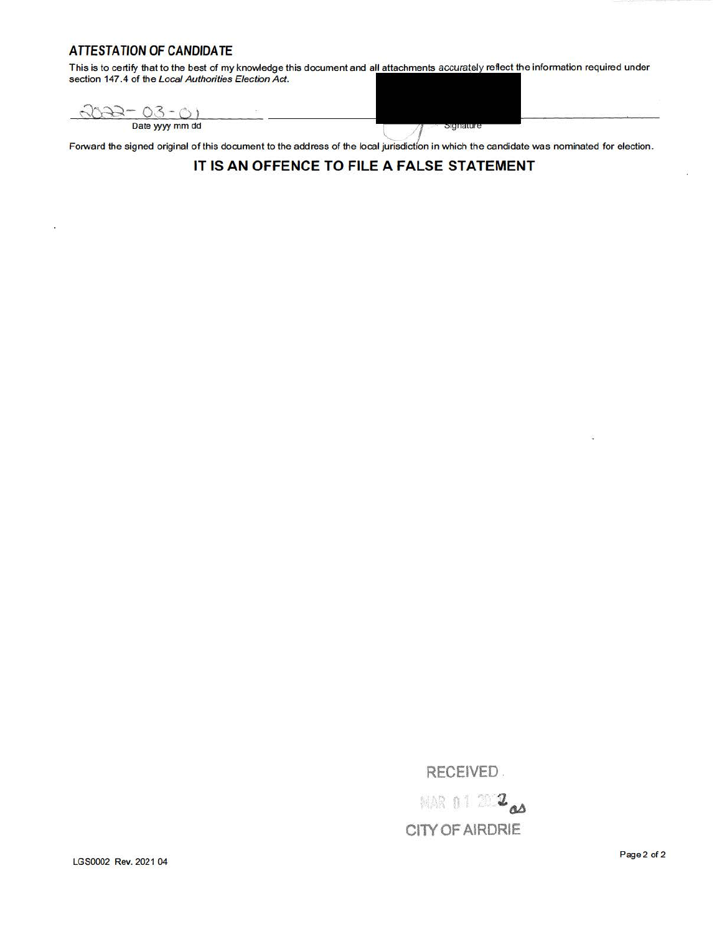## **ATTESTATION OF CANDIDATE**

This is to certify that to the best of my knowledge this document and all attachments accurately reflect the information required under section 147.4 of the Local Authorities Election Act.

 $3022 - 03 - 01$ 

Date yyyy mm dd

Forward the signed original of this document to the address of the local jurisdiction in which the candidate was nominated for election.

agnature

## **IT IS AN OFFENCE TO FILE A FALSE STATEMENT**

**RECEIVED .** 

**MAR 0 1 2 2 2 CllY OF AIRDRIE** 

LGS0002 Rev. 2021 04 Page 2 of 2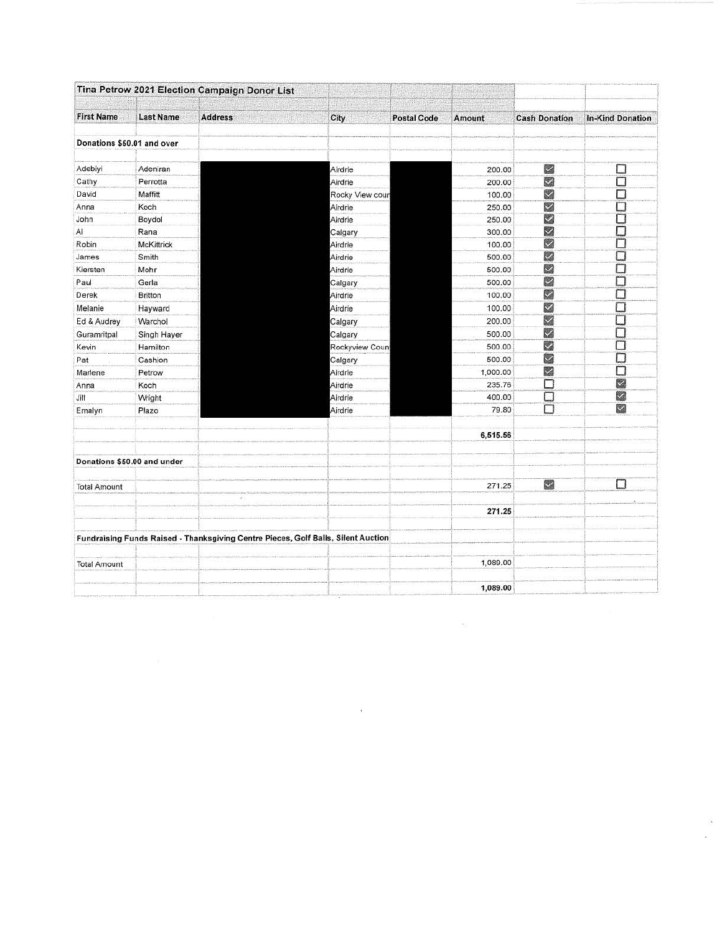|                            |                             | Tina Petrow 2021 Election Campaign Donor List                                     |                 |                    |          |                      |                         |
|----------------------------|-----------------------------|-----------------------------------------------------------------------------------|-----------------|--------------------|----------|----------------------|-------------------------|
| <b>First Name</b>          | <b>Last Name</b>            | <b>Address</b>                                                                    | City            | <b>Postal Code</b> | Amount   | <b>Cash Donation</b> | <b>In-Kind Donation</b> |
| Donations \$50.01 and over |                             |                                                                                   |                 |                    |          |                      |                         |
| Adebiyi                    | Adeniran                    |                                                                                   | Airdrie         |                    | 200.00   | ×                    | ⊔                       |
| Cathy                      | Perrotta                    |                                                                                   | Airdrie         |                    | 200.00   | Z                    | П                       |
| David                      | Maffitt                     |                                                                                   | Rocky View cour |                    | 100.00   | Z                    | П                       |
| Anna                       | Koch                        |                                                                                   | Airdrie         |                    | 250.00   | Z                    | □                       |
| John                       | Boydol                      |                                                                                   | Airdrie         |                    | 250.00   | M                    |                         |
| Al                         | Rana                        |                                                                                   | Calgary         |                    | 300.00   | $\checkmark$         | □                       |
| Robin                      | McKittrick                  |                                                                                   | Airdrie         |                    | 100.00   | Μ                    | □                       |
| James                      | Smith                       |                                                                                   | Airdrie         |                    | 500.00   | M                    | □                       |
| Kiersten                   | Mohr                        |                                                                                   | Airdrie         |                    | 500.00   | M                    | □                       |
| Paul                       | Gerla                       |                                                                                   | Calgary         |                    | 500.00   | Z                    | ◫                       |
| Derek                      | <b>Britton</b>              |                                                                                   | Airdrie         |                    | 100.00   | ⊠                    | □                       |
| Melanie                    | Hayward                     |                                                                                   | Airdrie         |                    | 100.00   | Ø                    | П                       |
| Ed & Audrey                | Warchol                     |                                                                                   | Calgary         |                    | 200.00   | M                    | □                       |
| Guramritpal                | Singh Hayer                 |                                                                                   | Calgary         |                    | 500.00   | M                    | □                       |
| Kevin                      | Hamilton                    |                                                                                   | Rockyview Coun  |                    | 500.00   | 図                    | □                       |
| Pat                        | Cashion                     |                                                                                   | Calgary         |                    | 500.00   | M                    | □                       |
| Marlene                    | Petrow                      |                                                                                   | Airdrie         |                    | 1,000.00 | M                    | П                       |
| Anna                       | Koch                        |                                                                                   | Airdrie         |                    | 235.76   | D                    | Z                       |
| Jill                       | Wright                      |                                                                                   | Airdrie         |                    | 400.00   | L                    | Ľ.                      |
| Emalyn                     | Plazo                       |                                                                                   | Airdrie         |                    | 79.80    | 5                    | $\overline{\mathbf{z}}$ |
|                            |                             |                                                                                   |                 |                    | 6,515.56 |                      |                         |
|                            | Donations \$50.00 and under |                                                                                   |                 |                    |          |                      |                         |
| <b>Total Amount</b>        |                             |                                                                                   |                 |                    | 271.25   | 2                    |                         |
|                            |                             |                                                                                   |                 |                    | 271.25   |                      |                         |
|                            |                             | Fundraising Funds Raised - Thanksgiving Centre Pieces, Golf Balls, Silent Auction |                 |                    |          |                      |                         |
| <b>Total Amount</b>        |                             |                                                                                   |                 |                    | 1,089.00 |                      |                         |
|                            |                             |                                                                                   |                 |                    | 1,089.00 |                      |                         |

 $\infty$ 

 $\mathbb{R}$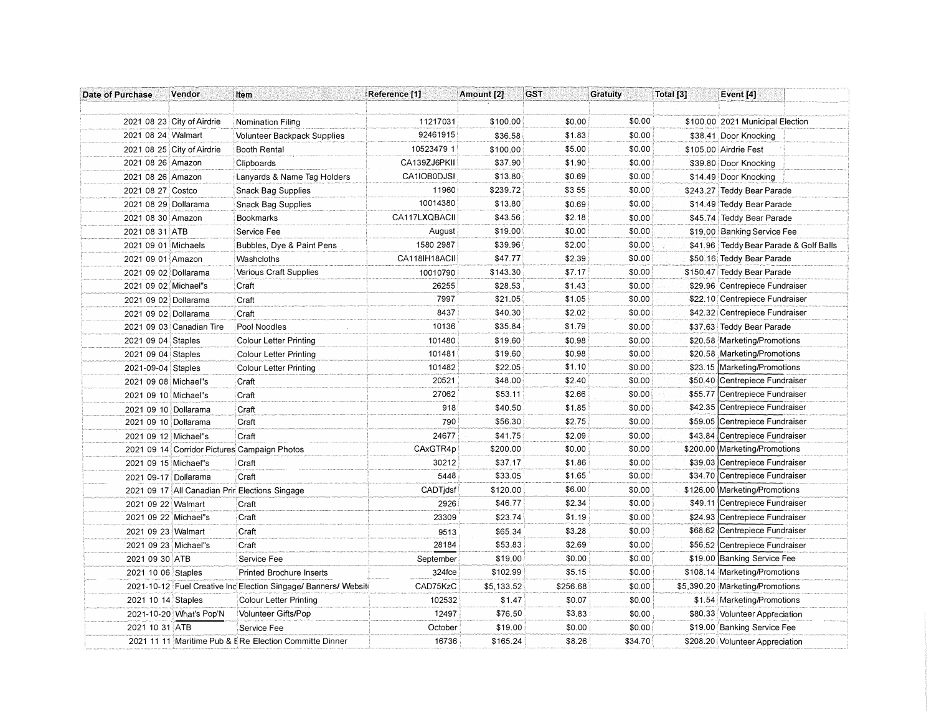| Date of Purchase     | Vendor                     | Item                                                           | Reference [1] | Amount [2] | <b>GST</b> | <b>Gratuity</b> | Total [3] | Event [4]                              |
|----------------------|----------------------------|----------------------------------------------------------------|---------------|------------|------------|-----------------|-----------|----------------------------------------|
|                      |                            |                                                                |               |            |            |                 |           |                                        |
|                      | 2021 08 23 City of Airdrie | <b>Nomination Filing</b>                                       | 11217031      | \$100.00   | \$0.00     | \$0.00          |           | \$100.00 2021 Municipal Election       |
| 2021 08 24 Walmart   |                            | <b>Volunteer Backpack Supplies</b>                             | 92461915      | \$36.58    | \$1.83     | \$0.00          |           | \$38.41 Door Knocking                  |
|                      | 2021 08 25 City of Airdrie | <b>Booth Rental</b>                                            | 10523479 1    | \$100.00   | \$5.00     | \$0.00          |           | \$105.00 Airdrie Fest                  |
| 2021 08 26 Amazon    |                            | Clipboards                                                     | CA139ZJ6PKII  | \$37.90    | \$1.90     | \$0.00          |           | \$39.80 Door Knocking                  |
| 2021 08 26 Amazon    |                            | Lanyards & Name Tag Holders                                    | CA1IOB0DJSI   | \$13.80    | \$0.69     | \$0.00          |           | \$14.49 Door Knocking                  |
| 2021 08 27 Costco    |                            | <b>Snack Bag Supplies</b>                                      | 11960         | \$239.72   | \$355      | \$0.00          |           | \$243.27 Teddy Bear Parade             |
| 2021 08 29 Dollarama |                            | <b>Snack Bag Supplies</b>                                      | 10014380      | \$13.80    | \$0.69     | \$0.00          |           | \$14.49 Teddy Bear Parade              |
| 2021 08 30 Amazon    |                            | <b>Bookmarks</b>                                               | CA117LXQBACII | \$43.56    | \$2.18     | \$0.00          |           | \$45.74 Teddy Bear Parade              |
| 2021 08 31 ATB       |                            | Service Fee                                                    | August        | \$19.00    | \$0.00     | \$0.00          |           | \$19.00 Banking Service Fee            |
| 2021 09 01 Michaels  |                            | Bubbles, Dye & Paint Pens                                      | 1580 2987     | \$39.96    | \$2.00     | \$0.00          |           | \$41.96 Teddy Bear Parade & Golf Balls |
| 2021 09 01 Amazon    |                            | Washcloths                                                     | CA118IH18ACII | \$47.77    | \$2.39     | \$0.00          |           | \$50.16 Teddy Bear Parade              |
| 2021 09 02 Dollarama |                            | Various Craft Supplies                                         | 10010790      | \$143.30   | \$7.17     | \$0.00          |           | \$150.47 Teddy Bear Parade             |
| 2021 09 02 Michael"s |                            | Craft                                                          | 26255         | \$28.53    | \$1.43     | \$0.00          |           | \$29.96 Centrepiece Fundraiser         |
| 2021 09 02 Dollarama |                            | Craft                                                          | 7997          | \$21.05    | \$1.05     | \$0.00          |           | \$22.10 Centrepiece Fundraiser         |
| 2021 09 02 Dollarama |                            | Craft                                                          | 8437          | \$40.30    | \$2.02     | \$0.00          |           | \$42.32 Centrepiece Fundraiser         |
|                      | 2021 09 03 Canadian Tire   | Pool Noodles                                                   | 10136         | \$35.84    | \$1.79     | \$0.00          |           | \$37.63 Teddy Bear Parade              |
| 2021 09 04 Staples   |                            | <b>Colour Letter Printing</b>                                  | 101480        | \$19.60    | \$0.98     | \$0.00          |           | \$20.58 Marketing/Promotions           |
| 2021 09 04 Staples   |                            | Colour Letter Printing                                         | 101481        | \$19.60    | \$0.98     | \$0.00          |           | \$20.58 Marketing/Promotions           |
| 2021-09-04 Staples   |                            | <b>Colour Letter Printing</b>                                  | 101482        | \$22.05    | \$1.10     | \$0.00          | \$23.15   | Marketing/Promotions                   |
| 2021 09 08 Michael"s |                            | Craft                                                          | 20521         | \$48.00    | \$2.40     | \$0.00          | \$50.40   | Centrepiece Fundraiser                 |
| 2021 09 10 Michael"s |                            | Craft                                                          | 27062         | \$53.11    | \$2.66     | \$0.00          | \$55.77   | Centrepiece Fundraiser                 |
| 2021 09 10 Dollarama |                            | Craft                                                          | 918           | \$40.50    | \$1.85     | \$0.00          | \$42.35   | Centrepiece Fundraiser                 |
| 2021 09 10 Dollarama |                            | Craft                                                          | 790           | \$56.30    | \$2.75     | \$0.00          | \$59.05   | Centrepiece Fundraiser                 |
| 2021 09 12 Michael"s |                            | Craft                                                          | 24677         | \$41.75    | \$2.09     | \$0.00          | \$43.84   | Centrepiece Fundraiser                 |
|                      |                            | 2021 09 14 Corridor Pictures Campaign Photos                   | CAxGTR4p      | \$200.00   | \$0.00     | \$0.00          |           | \$200.00 Marketing/Promotions          |
| 2021 09 15 Michael"s |                            | Craft                                                          | 30212         | \$37.17    | \$1.86     | \$0.00          |           | \$39.03 Centrepiece Fundraiser         |
| 2021 09-17 Dollarama |                            | Craft                                                          | 5448          | \$33.05    | \$1.65     | \$0.00          | \$34.70   | Centrepiece Fundraiser                 |
|                      |                            | 2021 09 17 All Canadian Prir Elections Singage                 | CADTidsf      | \$120.00   | \$6.00     | \$0.00          | \$126.00  | Marketing/Promotions                   |
| 2021 09 22 Walmart   |                            | Craft                                                          | 2926          | \$46.77    | \$2.34     | \$0.00          | \$49.11   | Centrepiece Fundraiser                 |
| 2021 09 22 Michael"s |                            | Craft                                                          | 23309         | \$23.74    | \$1.19     | \$0.00          | \$24.93   | Centrepiece Fundraiser                 |
| 2021 09 23 Walmart   |                            | Craft                                                          | 9513          | \$65.34    | \$3.28     | \$0.00          | \$68.62   | Centrepiece Fundraiser                 |
| 2021 09 23 Michael"s |                            | Craft                                                          | 28184         | \$53.83    | \$2.69     | \$0.00          |           | \$56.52 Centrepiece Fundraiser         |
| 2021 09 30 ATB       |                            | Service Fee                                                    | September     | \$19.00    | \$0.00     | \$0.00          |           | \$19.00 Banking Service Fee            |
| 2021 10 06 Staples   |                            | <b>Printed Brochure Inserts</b>                                | 324fce        | \$102.99   | \$5.15     | \$0.00          |           | \$108.14 Marketing/Promotions          |
|                      |                            | 2021-10-12 Fuel Creative Inc Election Singage/ Banners/ Websit | CAD75KzC      | \$5,133.52 | \$256.68   | \$0.00          |           | \$5,390.20 Marketing/Promotions        |
| 2021 10 14 Staples   |                            | <b>Colour Letter Printing</b>                                  | 102532        | \$1.47     | \$0.07     | \$0.00          |           | \$1.54 Marketing/Promotions            |
|                      | 2021-10-20 What's Pop'N    | Volunteer Gifts/Pop                                            | 12497         | \$76.50    | \$3.83     | \$0.00          |           | \$80.33 Volunteer Appreciation         |
| 2021 10 31 ATB       |                            | Service Fee                                                    | October       | \$19.00    | \$0.00     | \$0.00          |           | \$19.00 Banking Service Fee            |
|                      |                            | 2021 11 11 Maritime Pub & E Re Election Committe Dinner        | 16736         | \$165.24   | \$8.26     | \$34.70         |           | \$208.20 Volunteer Appreciation        |